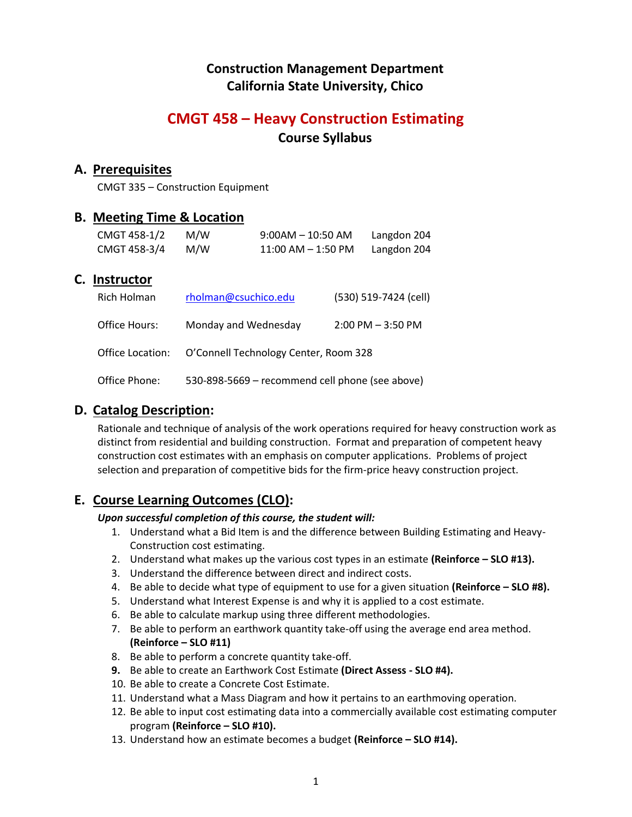## **Construction Management Department California State University, Chico**

# **CMGT 458 – Heavy Construction Estimating Course Syllabus**

## **A. Prerequisites**

CMGT 335 – Construction Equipment

## **B. Meeting Time & Location**

| CMGT 458-1/2 | M/W | $9:00$ AM $-10:50$ AM | Langdon 204 |
|--------------|-----|-----------------------|-------------|
| CMGT 458-3/4 | M/W | $11:00$ AM $-1:50$ PM | Langdon 204 |

## **C. Instructor**

| Rich Holman      | rholman@csuchico.edu                            | (530) 519-7424 (cell) |
|------------------|-------------------------------------------------|-----------------------|
| Office Hours:    | Monday and Wednesday                            | $2:00$ PM $-3:50$ PM  |
| Office Location: | O'Connell Technology Center, Room 328           |                       |
| Office Phone:    | 530-898-5669 - recommend cell phone (see above) |                       |

## **D. Catalog Description:**

Rationale and technique of analysis of the work operations required for heavy construction work as distinct from residential and building construction. Format and preparation of competent heavy construction cost estimates with an emphasis on computer applications. Problems of project selection and preparation of competitive bids for the firm-price heavy construction project.

## **E. Course Learning Outcomes (CLO):**

## *Upon successful completion of this course, the student will:*

- 1. Understand what a Bid Item is and the difference between Building Estimating and Heavy-Construction cost estimating.
- 2. Understand what makes up the various cost types in an estimate **(Reinforce – SLO #13).**
- 3. Understand the difference between direct and indirect costs.
- 4. Be able to decide what type of equipment to use for a given situation **(Reinforce – SLO #8).**
- 5. Understand what Interest Expense is and why it is applied to a cost estimate.
- 6. Be able to calculate markup using three different methodologies.
- 7. Be able to perform an earthwork quantity take-off using the average end area method. **(Reinforce – SLO #11)**
- 8. Be able to perform a concrete quantity take-off.
- **9.** Be able to create an Earthwork Cost Estimate **(Direct Assess SLO #4).**
- 10. Be able to create a Concrete Cost Estimate.
- 11. Understand what a Mass Diagram and how it pertains to an earthmoving operation.
- 12. Be able to input cost estimating data into a commercially available cost estimating computer program **(Reinforce – SLO #10).**
- 13. Understand how an estimate becomes a budget **(Reinforce – SLO #14).**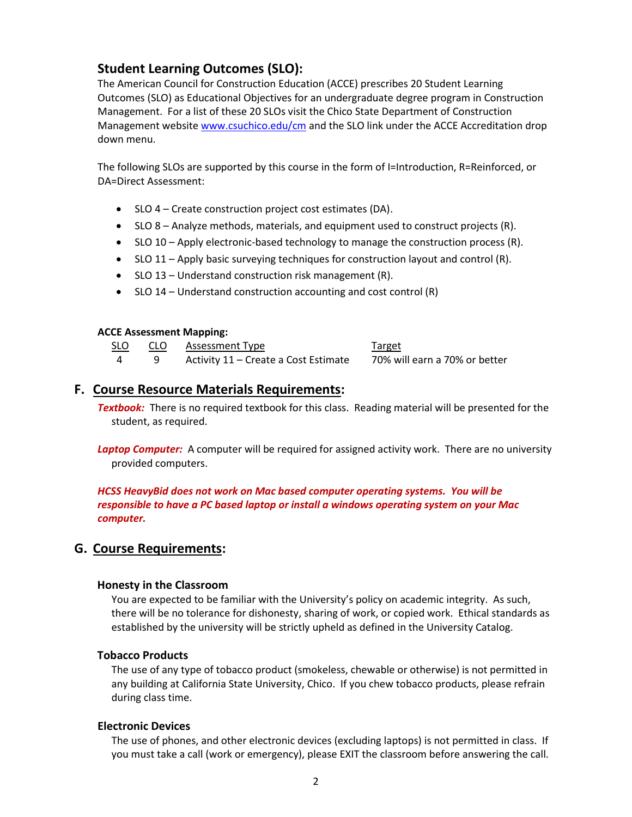## **Student Learning Outcomes (SLO):**

The American Council for Construction Education (ACCE) prescribes 20 Student Learning Outcomes (SLO) as Educational Objectives for an undergraduate degree program in Construction Management. For a list of these 20 SLOs visit the Chico State Department of Construction Management websit[e www.csuchico.edu/cm](http://www.csuchico.edu/cm) and the SLO link under the ACCE Accreditation drop down menu.

The following SLOs are supported by this course in the form of I=Introduction, R=Reinforced, or DA=Direct Assessment:

- SLO 4 Create construction project cost estimates (DA).
- SLO 8 Analyze methods, materials, and equipment used to construct projects (R).
- SLO 10 Apply electronic-based technology to manage the construction process (R).
- SLO 11 Apply basic surveying techniques for construction layout and control (R).
- SLO 13 Understand construction risk management (R).
- $\bullet$  SLO 14 Understand construction accounting and cost control (R)

#### **ACCE Assessment Mapping:**

| <u>SLO</u> | CLO Assessment Type                  | <u>Target</u>                 |
|------------|--------------------------------------|-------------------------------|
|            | Activity 11 – Create a Cost Estimate | 70% will earn a 70% or better |

## **F. Course Resource Materials Requirements:**

*Textbook:* There is no required textbook for this class. Reading material will be presented for the student, as required.

Laptop Computer: A computer will be required for assigned activity work. There are no university provided computers.

*HCSS HeavyBid does not work on Mac based computer operating systems. You will be responsible to have a PC based laptop or install a windows operating system on your Mac computer.*

## **G. Course Requirements:**

#### **Honesty in the Classroom**

You are expected to be familiar with the University's policy on academic integrity. As such, there will be no tolerance for dishonesty, sharing of work, or copied work. Ethical standards as established by the university will be strictly upheld as defined in the University Catalog.

#### **Tobacco Products**

The use of any type of tobacco product (smokeless, chewable or otherwise) is not permitted in any building at California State University, Chico. If you chew tobacco products, please refrain during class time.

#### **Electronic Devices**

The use of phones, and other electronic devices (excluding laptops) is not permitted in class. If you must take a call (work or emergency), please EXIT the classroom before answering the call.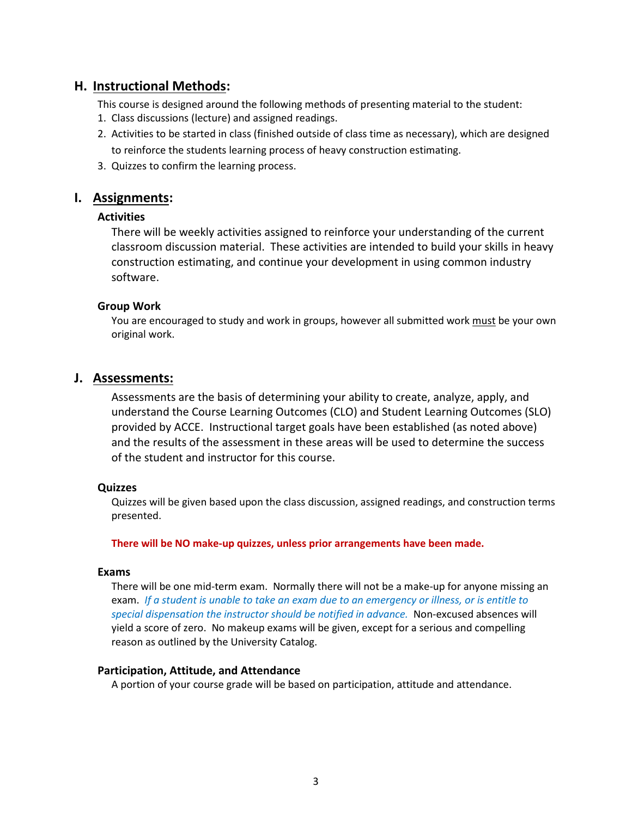## **H. Instructional Methods:**

This course is designed around the following methods of presenting material to the student:

- 1. Class discussions (lecture) and assigned readings.
- 2. Activities to be started in class (finished outside of class time as necessary), which are designed to reinforce the students learning process of heavy construction estimating.
- 3. Quizzes to confirm the learning process.

### **I. Assignments:**

#### **Activities**

There will be weekly activities assigned to reinforce your understanding of the current classroom discussion material. These activities are intended to build your skills in heavy construction estimating, and continue your development in using common industry software.

#### **Group Work**

You are encouraged to study and work in groups, however all submitted work must be your own original work.

#### **J. Assessments:**

Assessments are the basis of determining your ability to create, analyze, apply, and understand the Course Learning Outcomes (CLO) and Student Learning Outcomes (SLO) provided by ACCE. Instructional target goals have been established (as noted above) and the results of the assessment in these areas will be used to determine the success of the student and instructor for this course.

#### **Quizzes**

Quizzes will be given based upon the class discussion, assigned readings, and construction terms presented.

**There will be NO make-up quizzes, unless prior arrangements have been made.** 

#### **Exams**

There will be one mid-term exam. Normally there will not be a make-up for anyone missing an exam. *If a student is unable to take an exam due to an emergency or illness, or is entitle to special dispensation the instructor should be notified in advance.* Non-excused absences will yield a score of zero. No makeup exams will be given, except for a serious and compelling reason as outlined by the University Catalog.

#### **Participation, Attitude, and Attendance**

A portion of your course grade will be based on participation, attitude and attendance.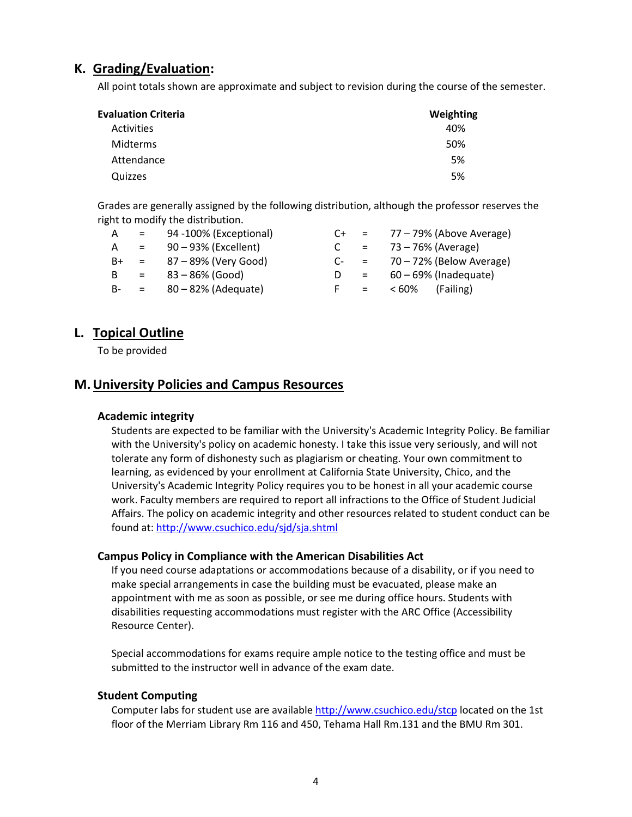## **K. Grading/Evaluation:**

All point totals shown are approximate and subject to revision during the course of the semester.

| <b>Evaluation Criteria</b> | Weighting |
|----------------------------|-----------|
| Activities                 | 40%       |
| Midterms                   | 50%       |
| Attendance                 | 5%        |
| Quizzes                    | 5%        |

Grades are generally assigned by the following distribution, although the professor reserves the right to modify the distribution.

| A    | $\mathbf{r} = \mathbf{r}$ | 94 -100% (Exceptional)      | C+     |                                      | $= 77 - 79\%$ (Above Average) |
|------|---------------------------|-----------------------------|--------|--------------------------------------|-------------------------------|
| A    | $=$                       | 90 - 93% (Excellent)        |        | $\mathbf{r} = \mathbf{r} \mathbf{r}$ | 73 – 76% (Average)            |
| $B+$ | $\mathbf{r} = \mathbf{r}$ | 87 – 89% (Very Good)        | $C- =$ |                                      | 70 – 72% (Below Average)      |
| B.   | $\mathbf{r} = \mathbf{r}$ | 83 – 86% (Good)             |        | $\alpha = 1$                         | 60 – 69% (Inadequate)         |
|      |                           | $B - = 80 - 82%$ (Adequate) |        | $\mathbf{r} = \mathbf{r}$            | < 60%<br>(Failing)            |

## **L. Topical Outline**

To be provided

## **M.University Policies and Campus Resources**

#### **Academic integrity**

Students are expected to be familiar with the University's Academic Integrity Policy. Be familiar with the University's policy on academic honesty. I take this issue very seriously, and will not tolerate any form of dishonesty such as plagiarism or cheating. Your own commitment to learning, as evidenced by your enrollment at California State University, Chico, and the University's Academic Integrity Policy requires you to be honest in all your academic course work. Faculty members are required to report all infractions to the Office of Student Judicial Affairs. The policy on academic integrity and other resources related to student conduct can be found at[: http://www.csuchico.edu/sjd/sja.shtml](http://www.csuchico.edu/sjd/sja.shtml)

#### **Campus Policy in Compliance with the American Disabilities Act**

If you need course adaptations or accommodations because of a disability, or if you need to make special arrangements in case the building must be evacuated, please make an appointment with me as soon as possible, or see me during office hours. Students with disabilities requesting accommodations must register with the ARC Office (Accessibility Resource Center).

Special accommodations for exams require ample notice to the testing office and must be submitted to the instructor well in advance of the exam date.

#### **Student Computing**

Computer labs for student use are availabl[e http://www.csuchico.edu/stcp](http://www.csuchico.edu/stcp) located on the 1st floor of the Merriam Library Rm 116 and 450, Tehama Hall Rm.131 and the BMU Rm 301.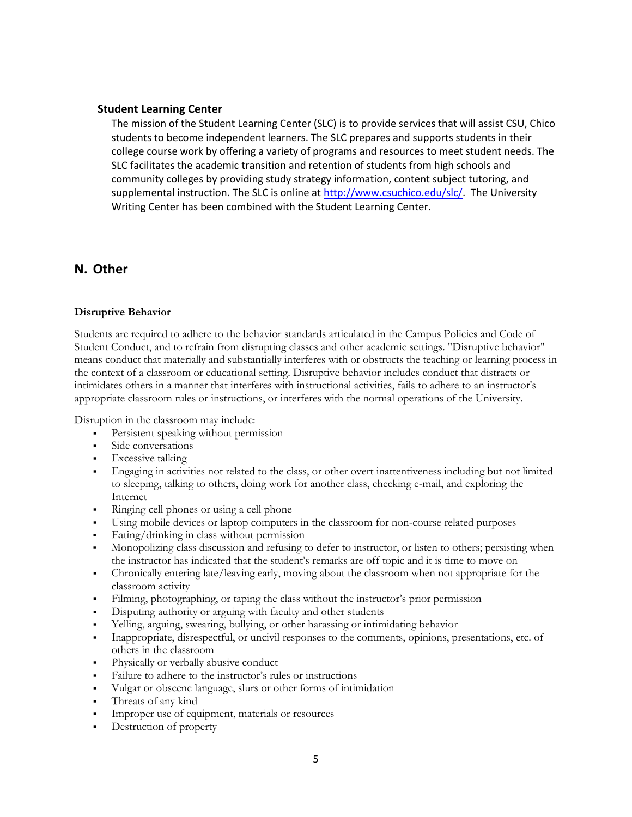#### **Student Learning Center**

The mission of the Student Learning Center (SLC) is to provide services that will assist CSU, Chico students to become independent learners. The SLC prepares and supports students in their college course work by offering a variety of programs and resources to meet student needs. The SLC facilitates the academic transition and retention of students from high schools and community colleges by providing study strategy information, content subject tutoring, and supplemental instruction. The SLC is online a[t http://www.csuchico.edu/slc/.](http://www.csuchico.edu/slc/) The University Writing Center has been combined with the Student Learning Center.

## **N. Other**

#### **Disruptive Behavior**

Students are required to adhere to the behavior standards articulated in the Campus Policies and Code of Student Conduct, and to refrain from disrupting classes and other academic settings. "Disruptive behavior" means conduct that materially and substantially interferes with or obstructs the teaching or learning process in the context of a classroom or educational setting. Disruptive behavior includes conduct that distracts or intimidates others in a manner that interferes with instructional activities, fails to adhere to an instructor's appropriate classroom rules or instructions, or interferes with the normal operations of the University.

Disruption in the classroom may include:

- Persistent speaking without permission
- Side conversations
- Excessive talking
- Engaging in activities not related to the class, or other overt inattentiveness including but not limited to sleeping, talking to others, doing work for another class, checking e-mail, and exploring the Internet
- Ringing cell phones or using a cell phone
- Using mobile devices or laptop computers in the classroom for non-course related purposes
- Eating/drinking in class without permission
- Monopolizing class discussion and refusing to defer to instructor, or listen to others; persisting when the instructor has indicated that the student's remarks are off topic and it is time to move on
- Chronically entering late/leaving early, moving about the classroom when not appropriate for the classroom activity
- Filming, photographing, or taping the class without the instructor's prior permission
- Disputing authority or arguing with faculty and other students
- Yelling, arguing, swearing, bullying, or other harassing or intimidating behavior
- Inappropriate, disrespectful, or uncivil responses to the comments, opinions, presentations, etc. of others in the classroom
- Physically or verbally abusive conduct
- Failure to adhere to the instructor's rules or instructions
- Vulgar or obscene language, slurs or other forms of intimidation
- Threats of any kind
- Improper use of equipment, materials or resources
- Destruction of property